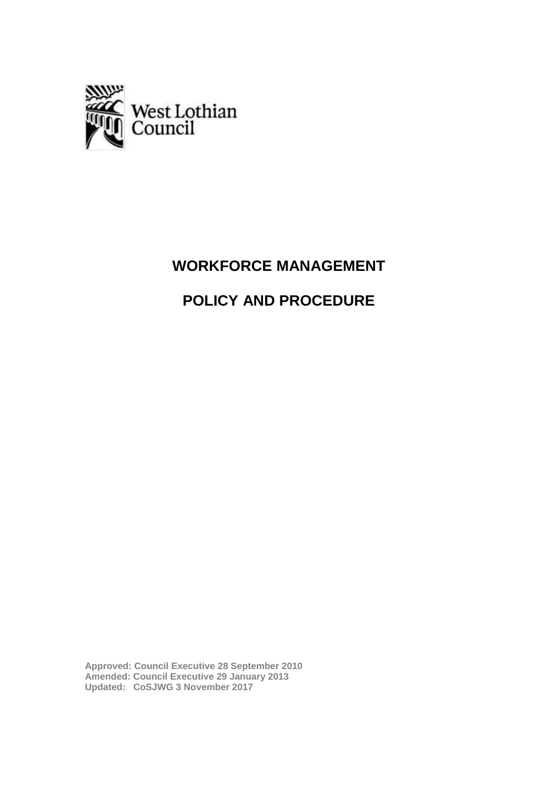

## **WORKFORCE MANAGEMENT**

# **POLICY AND PROCEDURE**

**Approved: Council Executive 28 September 2010 Amended: Council Executive 29 January 2013 Updated: CoSJWG 3 November 2017**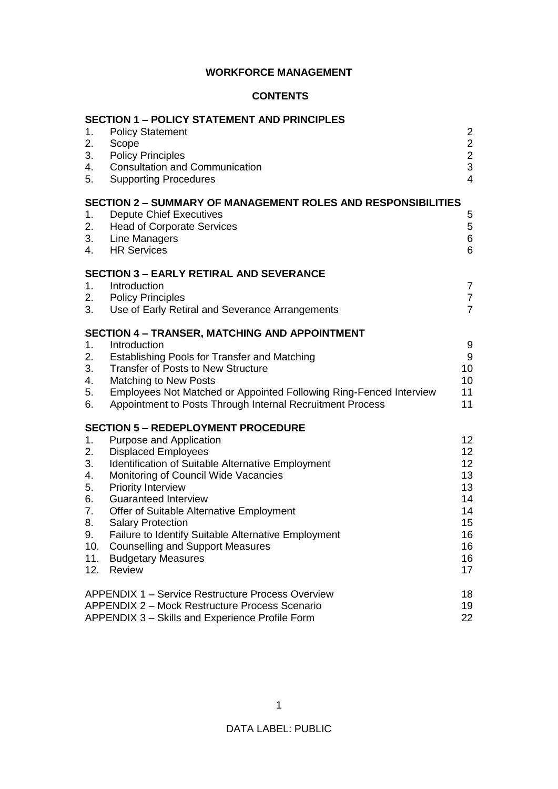## **WORKFORCE MANAGEMENT**

#### **CONTENTS**

| 1.<br>2.<br>3.<br>4.<br>5.                                              | <b>SECTION 1 – POLICY STATEMENT AND PRINCIPLES</b><br><b>Policy Statement</b><br>Scope<br><b>Policy Principles</b><br><b>Consultation and Communication</b><br><b>Supporting Procedures</b>                                                                                                                                                                                                                                                                                  | $\overline{2}$<br>$\overline{2}$<br>$\frac{2}{3}$<br>$\overline{4}$                            |
|-------------------------------------------------------------------------|------------------------------------------------------------------------------------------------------------------------------------------------------------------------------------------------------------------------------------------------------------------------------------------------------------------------------------------------------------------------------------------------------------------------------------------------------------------------------|------------------------------------------------------------------------------------------------|
| 1.<br>2.<br>3.<br>4.                                                    | <b>SECTION 2 - SUMMARY OF MANAGEMENT ROLES AND RESPONSIBILITIES</b><br><b>Depute Chief Executives</b><br><b>Head of Corporate Services</b><br>Line Managers<br><b>HR Services</b>                                                                                                                                                                                                                                                                                            | 5<br>5<br>6<br>6                                                                               |
| 1.<br>2.<br>3.                                                          | <b>SECTION 3 - EARLY RETIRAL AND SEVERANCE</b><br>Introduction<br><b>Policy Principles</b><br>Use of Early Retiral and Severance Arrangements                                                                                                                                                                                                                                                                                                                                | $\overline{7}$<br>$\overline{7}$<br>$\overline{7}$                                             |
| 1 <sub>1</sub><br>2.<br>3.<br>4.<br>5.<br>6.                            | <b>SECTION 4 - TRANSER, MATCHING AND APPOINTMENT</b><br>Introduction<br>Establishing Pools for Transfer and Matching<br><b>Transfer of Posts to New Structure</b><br><b>Matching to New Posts</b><br>Employees Not Matched or Appointed Following Ring-Fenced Interview<br>Appointment to Posts Through Internal Recruitment Process                                                                                                                                         | 9<br>9<br>10<br>10<br>11<br>11                                                                 |
| 1.<br>2.<br>3.<br>4.<br>5.<br>6.<br>7.<br>8.<br>9.<br>10.<br>11.<br>12. | <b>SECTION 5 - REDEPLOYMENT PROCEDURE</b><br>Purpose and Application<br><b>Displaced Employees</b><br>Identification of Suitable Alternative Employment<br>Monitoring of Council Wide Vacancies<br><b>Priority Interview</b><br><b>Guaranteed Interview</b><br>Offer of Suitable Alternative Employment<br><b>Salary Protection</b><br>Failure to Identify Suitable Alternative Employment<br><b>Counselling and Support Measures</b><br><b>Budgetary Measures</b><br>Review | 12 <sub>2</sub><br>12 <sub>2</sub><br>12<br>13<br>13<br>14<br>14<br>15<br>16<br>16<br>16<br>17 |
|                                                                         | <b>APPENDIX 1 – Service Restructure Process Overview</b><br><b>APPENDIX 2 – Mock Restructure Process Scenario</b><br>APPENDIX 3 - Skills and Experience Profile Form                                                                                                                                                                                                                                                                                                         | 18<br>19<br>22                                                                                 |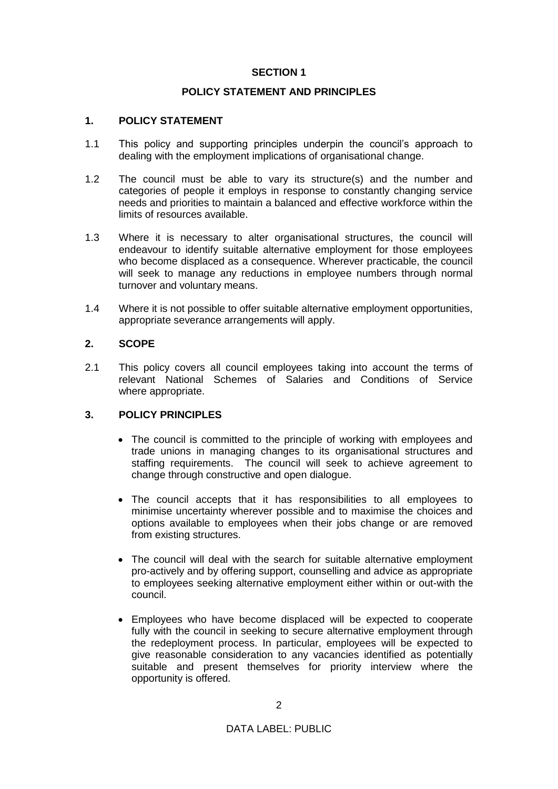## **SECTION 1**

## **POLICY STATEMENT AND PRINCIPLES**

## **1. POLICY STATEMENT**

- 1.1 This policy and supporting principles underpin the council's approach to dealing with the employment implications of organisational change.
- 1.2 The council must be able to vary its structure(s) and the number and categories of people it employs in response to constantly changing service needs and priorities to maintain a balanced and effective workforce within the limits of resources available.
- 1.3 Where it is necessary to alter organisational structures, the council will endeavour to identify suitable alternative employment for those employees who become displaced as a consequence. Wherever practicable, the council will seek to manage any reductions in employee numbers through normal turnover and voluntary means.
- 1.4 Where it is not possible to offer suitable alternative employment opportunities, appropriate severance arrangements will apply.

## **2. SCOPE**

2.1 This policy covers all council employees taking into account the terms of relevant National Schemes of Salaries and Conditions of Service where appropriate.

#### **3. POLICY PRINCIPLES**

- The council is committed to the principle of working with employees and trade unions in managing changes to its organisational structures and staffing requirements. The council will seek to achieve agreement to change through constructive and open dialogue.
- The council accepts that it has responsibilities to all employees to minimise uncertainty wherever possible and to maximise the choices and options available to employees when their jobs change or are removed from existing structures.
- The council will deal with the search for suitable alternative employment pro-actively and by offering support, counselling and advice as appropriate to employees seeking alternative employment either within or out-with the council.
- Employees who have become displaced will be expected to cooperate fully with the council in seeking to secure alternative employment through the redeployment process. In particular, employees will be expected to give reasonable consideration to any vacancies identified as potentially suitable and present themselves for priority interview where the opportunity is offered.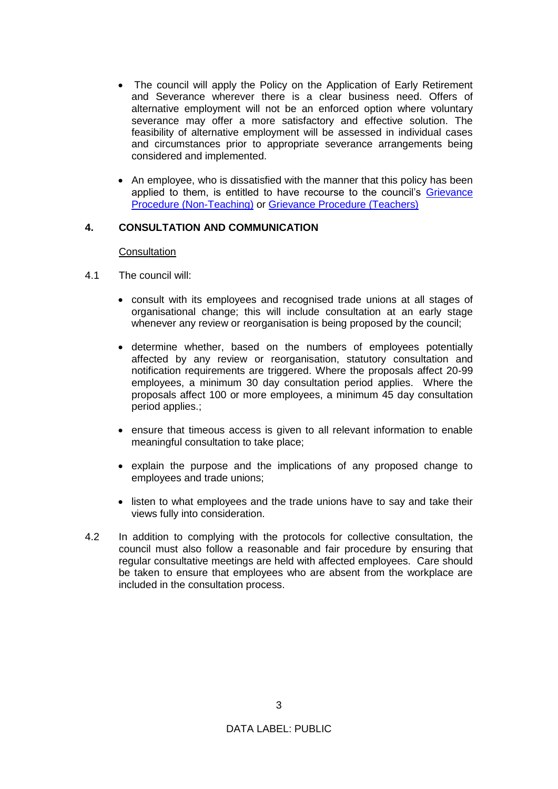- The council will apply the Policy on the Application of Early Retirement and Severance wherever there is a clear business need. Offers of alternative employment will not be an enforced option where voluntary severance may offer a more satisfactory and effective solution. The feasibility of alternative employment will be assessed in individual cases and circumstances prior to appropriate severance arrangements being considered and implemented.
- An employee, who is dissatisfied with the manner that this policy has been applied to them, is entitled to have recourse to the council's [Grievance](https://www.westlothian.gov.uk/media/28447/Procedure-for-Hearing-Employee-Grievances-Non-Teaching/pdf/GrievanceProcedure_(non-teaching).pdf)  [Procedure \(Non-Teaching\)](https://www.westlothian.gov.uk/media/28447/Procedure-for-Hearing-Employee-Grievances-Non-Teaching/pdf/GrievanceProcedure_(non-teaching).pdf) or [Grievance Procedure \(Teachers\)](https://www.westlothian.gov.uk/media/28448/Procedure-for-Hearing-Teachers-Grievances/pdf/GrievanceProcedure_Teachers.pdf)

## **4. CONSULTATION AND COMMUNICATION**

#### **Consultation**

- 4.1 The council will:
	- consult with its employees and recognised trade unions at all stages of organisational change; this will include consultation at an early stage whenever any review or reorganisation is being proposed by the council;
	- determine whether, based on the numbers of employees potentially affected by any review or reorganisation, statutory consultation and notification requirements are triggered. Where the proposals affect 20-99 employees, a minimum 30 day consultation period applies. Where the proposals affect 100 or more employees, a minimum 45 day consultation period applies.;
	- ensure that timeous access is given to all relevant information to enable meaningful consultation to take place;
	- explain the purpose and the implications of any proposed change to employees and trade unions;
	- listen to what employees and the trade unions have to say and take their views fully into consideration.
- 4.2 In addition to complying with the protocols for collective consultation, the council must also follow a reasonable and fair procedure by ensuring that regular consultative meetings are held with affected employees. Care should be taken to ensure that employees who are absent from the workplace are included in the consultation process.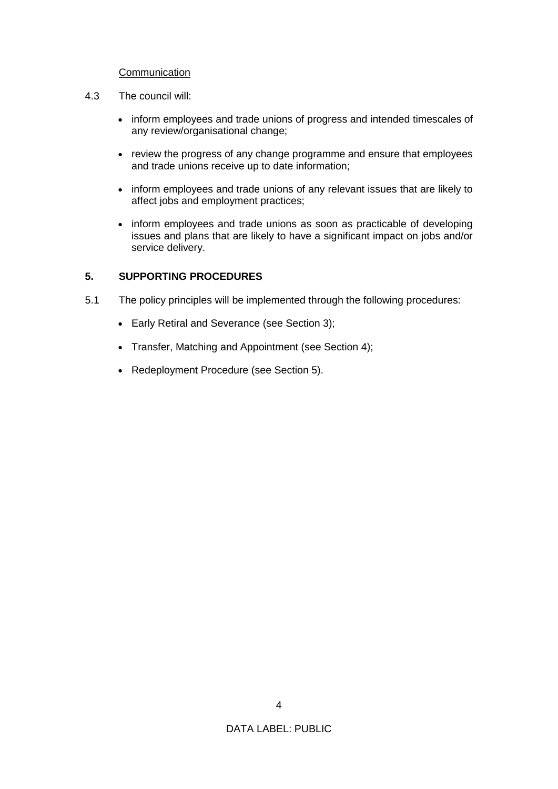#### **Communication**

- 4.3 The council will:
	- inform employees and trade unions of progress and intended timescales of any review/organisational change;
	- review the progress of any change programme and ensure that employees and trade unions receive up to date information;
	- inform employees and trade unions of any relevant issues that are likely to affect jobs and employment practices;
	- inform employees and trade unions as soon as practicable of developing issues and plans that are likely to have a significant impact on jobs and/or service delivery.

## **5. SUPPORTING PROCEDURES**

- 5.1 The policy principles will be implemented through the following procedures:
	- Early Retiral and Severance (see Section 3);
	- Transfer, Matching and Appointment (see Section 4);
	- Redeployment Procedure (see Section 5).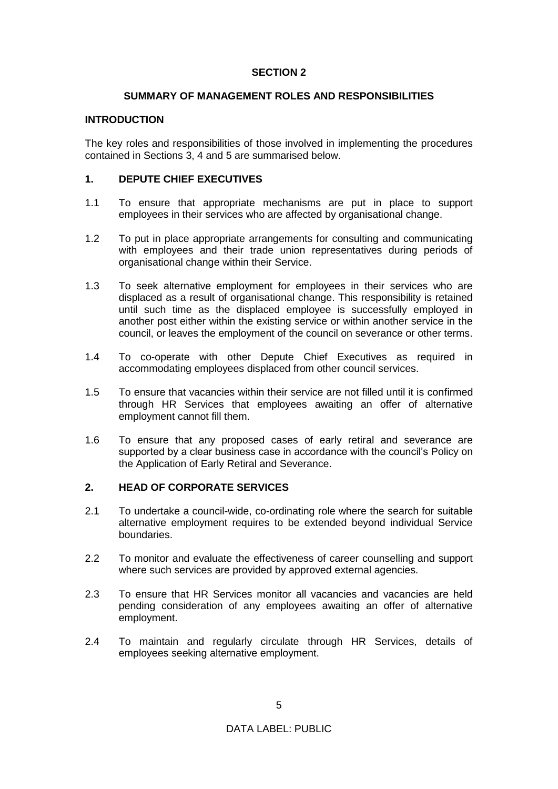## **SECTION 2**

#### **SUMMARY OF MANAGEMENT ROLES AND RESPONSIBILITIES**

#### **INTRODUCTION**

The key roles and responsibilities of those involved in implementing the procedures contained in Sections 3, 4 and 5 are summarised below.

## **1. DEPUTE CHIEF EXECUTIVES**

- 1.1 To ensure that appropriate mechanisms are put in place to support employees in their services who are affected by organisational change.
- 1.2 To put in place appropriate arrangements for consulting and communicating with employees and their trade union representatives during periods of organisational change within their Service.
- 1.3 To seek alternative employment for employees in their services who are displaced as a result of organisational change. This responsibility is retained until such time as the displaced employee is successfully employed in another post either within the existing service or within another service in the council, or leaves the employment of the council on severance or other terms.
- 1.4 To co-operate with other Depute Chief Executives as required in accommodating employees displaced from other council services.
- 1.5 To ensure that vacancies within their service are not filled until it is confirmed through HR Services that employees awaiting an offer of alternative employment cannot fill them.
- 1.6 To ensure that any proposed cases of early retiral and severance are supported by a clear business case in accordance with the council's Policy on the Application of Early Retiral and Severance.

## **2. HEAD OF CORPORATE SERVICES**

- 2.1 To undertake a council-wide, co-ordinating role where the search for suitable alternative employment requires to be extended beyond individual Service boundaries.
- 2.2 To monitor and evaluate the effectiveness of career counselling and support where such services are provided by approved external agencies.
- 2.3 To ensure that HR Services monitor all vacancies and vacancies are held pending consideration of any employees awaiting an offer of alternative employment.
- 2.4 To maintain and regularly circulate through HR Services, details of employees seeking alternative employment.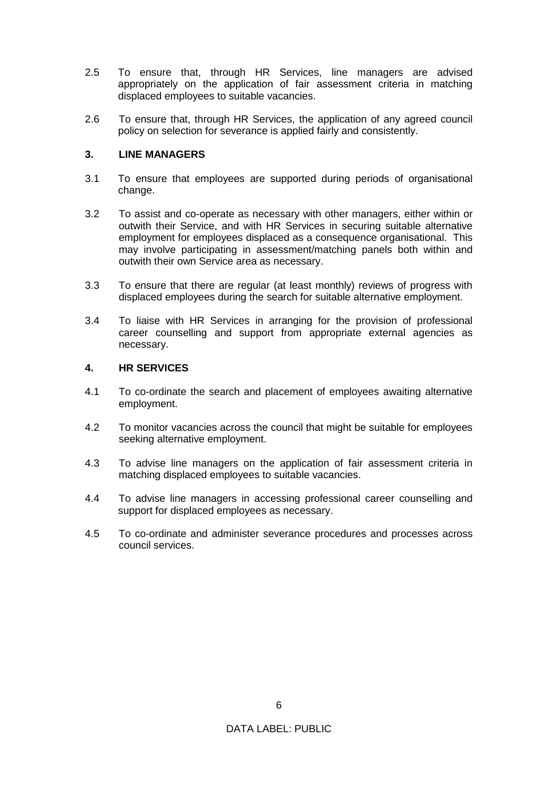- 2.5 To ensure that, through HR Services, line managers are advised appropriately on the application of fair assessment criteria in matching displaced employees to suitable vacancies.
- 2.6 To ensure that, through HR Services, the application of any agreed council policy on selection for severance is applied fairly and consistently.

## **3. LINE MANAGERS**

- 3.1 To ensure that employees are supported during periods of organisational change.
- 3.2 To assist and co-operate as necessary with other managers, either within or outwith their Service, and with HR Services in securing suitable alternative employment for employees displaced as a consequence organisational. This may involve participating in assessment/matching panels both within and outwith their own Service area as necessary.
- 3.3 To ensure that there are regular (at least monthly) reviews of progress with displaced employees during the search for suitable alternative employment.
- 3.4 To liaise with HR Services in arranging for the provision of professional career counselling and support from appropriate external agencies as necessary.

## **4. HR SERVICES**

- 4.1 To co-ordinate the search and placement of employees awaiting alternative employment.
- 4.2 To monitor vacancies across the council that might be suitable for employees seeking alternative employment.
- 4.3 To advise line managers on the application of fair assessment criteria in matching displaced employees to suitable vacancies.
- 4.4 To advise line managers in accessing professional career counselling and support for displaced employees as necessary.
- 4.5 To co-ordinate and administer severance procedures and processes across council services.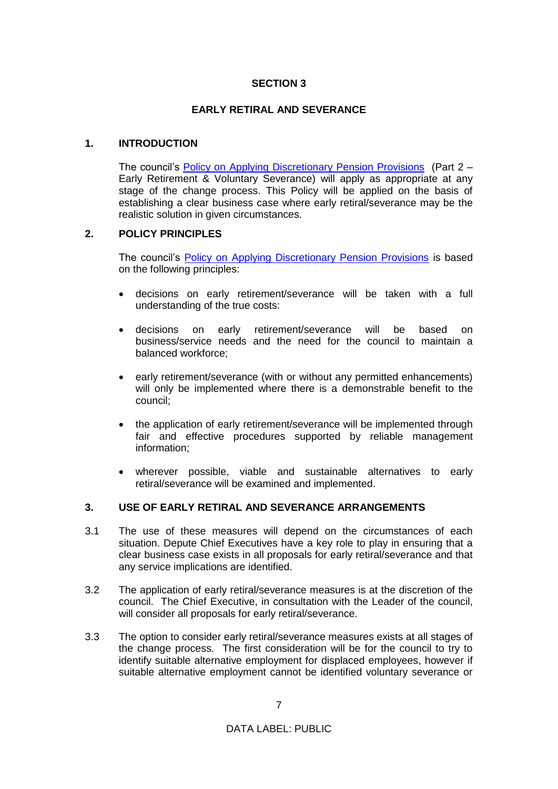## **SECTION 3**

#### **EARLY RETIRAL AND SEVERANCE**

#### **1. INTRODUCTION**

The council's **[Policy on Applying Discretionary Pension Provisions](https://www.westlothian.gov.uk/media/9516/Pensions-Discretionary-Provisions---Policy-Statement/pdf/Pensions_Discretion_Provisions_(Policy_Statement).pdf)** (Part 2 – Early Retirement & Voluntary Severance) will apply as appropriate at any stage of the change process. This Policy will be applied on the basis of establishing a clear business case where early retiral/severance may be the realistic solution in given circumstances.

#### **2. POLICY PRINCIPLES**

The council's [Policy on Applying Discretionary Pension Provisions](https://www.westlothian.gov.uk/media/9516/Pensions-Discretionary-Provisions---Policy-Statement/pdf/Pensions_Discretion_Provisions_(Policy_Statement).pdf) is based on the following principles:

- decisions on early retirement/severance will be taken with a full understanding of the true costs:
- decisions on early retirement/severance will be based on business/service needs and the need for the council to maintain a balanced workforce;
- early retirement/severance (with or without any permitted enhancements) will only be implemented where there is a demonstrable benefit to the council;
- the application of early retirement/severance will be implemented through fair and effective procedures supported by reliable management information;
- wherever possible, viable and sustainable alternatives to early retiral/severance will be examined and implemented.

## **3. USE OF EARLY RETIRAL AND SEVERANCE ARRANGEMENTS**

- 3.1 The use of these measures will depend on the circumstances of each situation. Depute Chief Executives have a key role to play in ensuring that a clear business case exists in all proposals for early retiral/severance and that any service implications are identified.
- 3.2 The application of early retiral/severance measures is at the discretion of the council. The Chief Executive, in consultation with the Leader of the council, will consider all proposals for early retiral/severance.
- 3.3 The option to consider early retiral/severance measures exists at all stages of the change process. The first consideration will be for the council to try to identify suitable alternative employment for displaced employees, however if suitable alternative employment cannot be identified voluntary severance or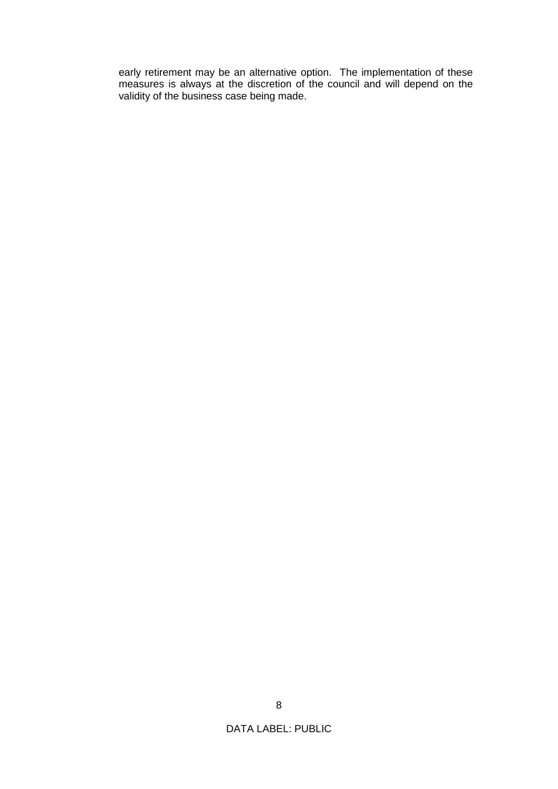early retirement may be an alternative option. The implementation of these measures is always at the discretion of the council and will depend on the validity of the business case being made.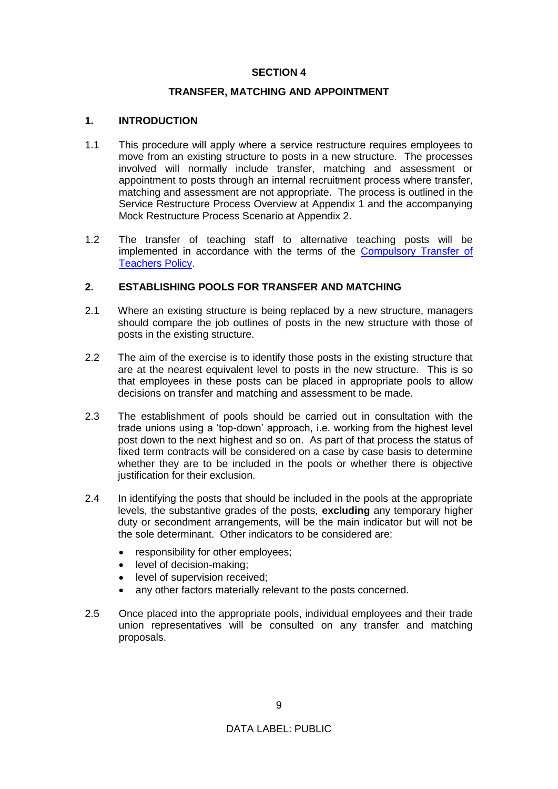## **SECTION 4**

#### **TRANSFER, MATCHING AND APPOINTMENT**

## **1. INTRODUCTION**

- 1.1 This procedure will apply where a service restructure requires employees to move from an existing structure to posts in a new structure. The processes involved will normally include transfer, matching and assessment or appointment to posts through an internal recruitment process where transfer, matching and assessment are not appropriate. The process is outlined in the Service Restructure Process Overview at Appendix 1 and the accompanying Mock Restructure Process Scenario at Appendix 2.
- 1.2 The transfer of teaching staff to alternative teaching posts will be implemented in accordance with the terms of the [Compulsory Transfer of](https://www.westlothian.gov.uk/media/1647/Compulsory-Transfer-of-Teachers/pdf/compulsorytransfer.pdf)  [Teachers Policy.](https://www.westlothian.gov.uk/media/1647/Compulsory-Transfer-of-Teachers/pdf/compulsorytransfer.pdf)

## **2. ESTABLISHING POOLS FOR TRANSFER AND MATCHING**

- 2.1 Where an existing structure is being replaced by a new structure, managers should compare the job outlines of posts in the new structure with those of posts in the existing structure.
- 2.2 The aim of the exercise is to identify those posts in the existing structure that are at the nearest equivalent level to posts in the new structure. This is so that employees in these posts can be placed in appropriate pools to allow decisions on transfer and matching and assessment to be made.
- 2.3 The establishment of pools should be carried out in consultation with the trade unions using a 'top-down' approach, i.e. working from the highest level post down to the next highest and so on. As part of that process the status of fixed term contracts will be considered on a case by case basis to determine whether they are to be included in the pools or whether there is objective justification for their exclusion.
- 2.4 In identifying the posts that should be included in the pools at the appropriate levels, the substantive grades of the posts, **excluding** any temporary higher duty or secondment arrangements, will be the main indicator but will not be the sole determinant. Other indicators to be considered are:
	- responsibility for other employees;
	- level of decision-making;
	- level of supervision received;
	- any other factors materially relevant to the posts concerned.
- 2.5 Once placed into the appropriate pools, individual employees and their trade union representatives will be consulted on any transfer and matching proposals.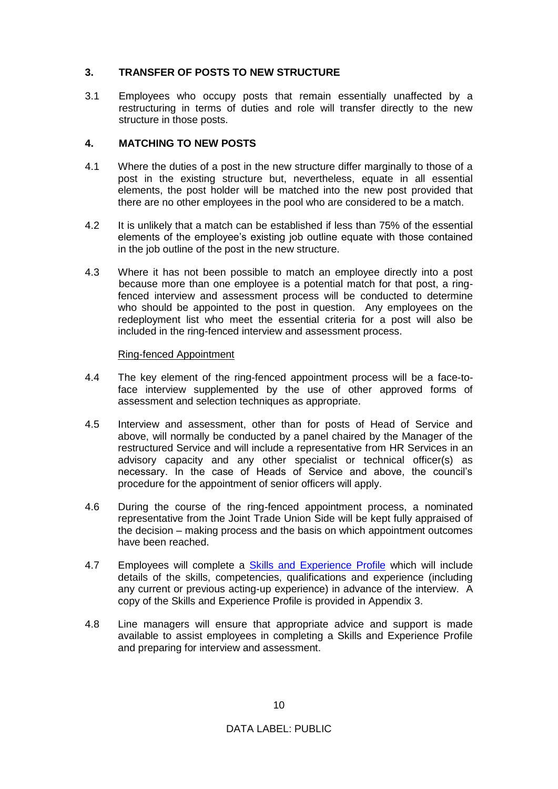## **3. TRANSFER OF POSTS TO NEW STRUCTURE**

3.1 Employees who occupy posts that remain essentially unaffected by a restructuring in terms of duties and role will transfer directly to the new structure in those posts.

## **4. MATCHING TO NEW POSTS**

- 4.1 Where the duties of a post in the new structure differ marginally to those of a post in the existing structure but, nevertheless, equate in all essential elements, the post holder will be matched into the new post provided that there are no other employees in the pool who are considered to be a match.
- 4.2 It is unlikely that a match can be established if less than 75% of the essential elements of the employee's existing job outline equate with those contained in the job outline of the post in the new structure.
- 4.3 Where it has not been possible to match an employee directly into a post because more than one employee is a potential match for that post, a ringfenced interview and assessment process will be conducted to determine who should be appointed to the post in question. Any employees on the redeployment list who meet the essential criteria for a post will also be included in the ring-fenced interview and assessment process.

## Ring-fenced Appointment

- 4.4 The key element of the ring-fenced appointment process will be a face-toface interview supplemented by the use of other approved forms of assessment and selection techniques as appropriate.
- 4.5 Interview and assessment, other than for posts of Head of Service and above, will normally be conducted by a panel chaired by the Manager of the restructured Service and will include a representative from HR Services in an advisory capacity and any other specialist or technical officer(s) as necessary. In the case of Heads of Service and above, the council's procedure for the appointment of senior officers will apply.
- 4.6 During the course of the ring-fenced appointment process, a nominated representative from the Joint Trade Union Side will be kept fully appraised of the decision – making process and the basis on which appointment outcomes have been reached.
- 4.7 Employees will complete a [Skills and Experience Profile](https://www.westlothian.gov.uk/media/23695/Redeployment-Skills-and-Experience-Profile/doc/Redeployment_Skills_and_Experience_Profile_Form.doc) which will include details of the skills, competencies, qualifications and experience (including any current or previous acting-up experience) in advance of the interview. A copy of the Skills and Experience Profile is provided in Appendix 3.
- 4.8 Line managers will ensure that appropriate advice and support is made available to assist employees in completing a Skills and Experience Profile and preparing for interview and assessment.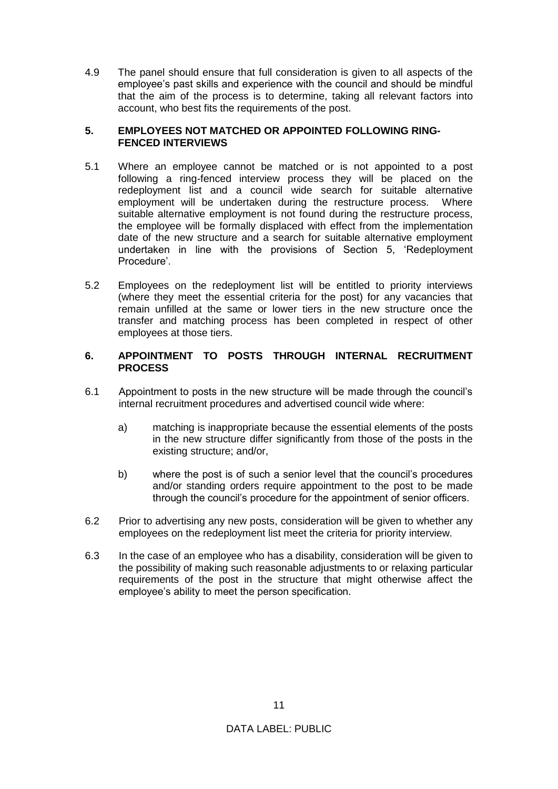4.9 The panel should ensure that full consideration is given to all aspects of the employee's past skills and experience with the council and should be mindful that the aim of the process is to determine, taking all relevant factors into account, who best fits the requirements of the post.

#### **5. EMPLOYEES NOT MATCHED OR APPOINTED FOLLOWING RING-FENCED INTERVIEWS**

- 5.1 Where an employee cannot be matched or is not appointed to a post following a ring-fenced interview process they will be placed on the redeployment list and a council wide search for suitable alternative employment will be undertaken during the restructure process. Where suitable alternative employment is not found during the restructure process, the employee will be formally displaced with effect from the implementation date of the new structure and a search for suitable alternative employment undertaken in line with the provisions of Section 5, 'Redeployment Procedure'.
- 5.2 Employees on the redeployment list will be entitled to priority interviews (where they meet the essential criteria for the post) for any vacancies that remain unfilled at the same or lower tiers in the new structure once the transfer and matching process has been completed in respect of other employees at those tiers.

## **6. APPOINTMENT TO POSTS THROUGH INTERNAL RECRUITMENT PROCESS**

- 6.1 Appointment to posts in the new structure will be made through the council's internal recruitment procedures and advertised council wide where:
	- a) matching is inappropriate because the essential elements of the posts in the new structure differ significantly from those of the posts in the existing structure; and/or,
	- b) where the post is of such a senior level that the council's procedures and/or standing orders require appointment to the post to be made through the council's procedure for the appointment of senior officers.
- 6.2 Prior to advertising any new posts, consideration will be given to whether any employees on the redeployment list meet the criteria for priority interview.
- 6.3 In the case of an employee who has a disability, consideration will be given to the possibility of making such reasonable adjustments to or relaxing particular requirements of the post in the structure that might otherwise affect the employee's ability to meet the person specification.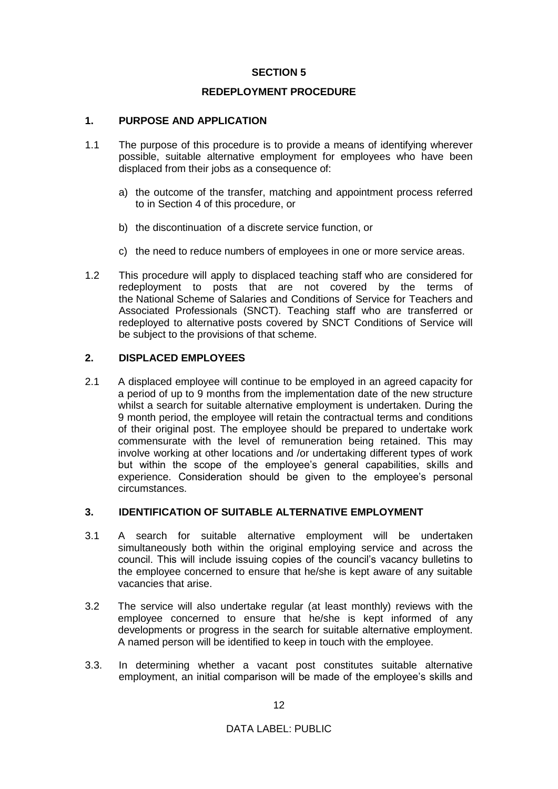## **SECTION 5**

## **REDEPLOYMENT PROCEDURE**

## **1. PURPOSE AND APPLICATION**

- 1.1 The purpose of this procedure is to provide a means of identifying wherever possible, suitable alternative employment for employees who have been displaced from their jobs as a consequence of:
	- a) the outcome of the transfer, matching and appointment process referred to in Section 4 of this procedure, or
	- b) the discontinuation of a discrete service function, or
	- c) the need to reduce numbers of employees in one or more service areas.
- 1.2 This procedure will apply to displaced teaching staff who are considered for redeployment to posts that are not covered by the terms of the National Scheme of Salaries and Conditions of Service for Teachers and Associated Professionals (SNCT). Teaching staff who are transferred or redeployed to alternative posts covered by SNCT Conditions of Service will be subject to the provisions of that scheme.

## **2. DISPLACED EMPLOYEES**

2.1 A displaced employee will continue to be employed in an agreed capacity for a period of up to 9 months from the implementation date of the new structure whilst a search for suitable alternative employment is undertaken. During the 9 month period, the employee will retain the contractual terms and conditions of their original post. The employee should be prepared to undertake work commensurate with the level of remuneration being retained. This may involve working at other locations and /or undertaking different types of work but within the scope of the employee's general capabilities, skills and experience. Consideration should be given to the employee's personal circumstances.

#### **3. IDENTIFICATION OF SUITABLE ALTERNATIVE EMPLOYMENT**

- 3.1 A search for suitable alternative employment will be undertaken simultaneously both within the original employing service and across the council. This will include issuing copies of the council's vacancy bulletins to the employee concerned to ensure that he/she is kept aware of any suitable vacancies that arise.
- 3.2 The service will also undertake regular (at least monthly) reviews with the employee concerned to ensure that he/she is kept informed of any developments or progress in the search for suitable alternative employment. A named person will be identified to keep in touch with the employee.
- 3.3. In determining whether a vacant post constitutes suitable alternative employment, an initial comparison will be made of the employee's skills and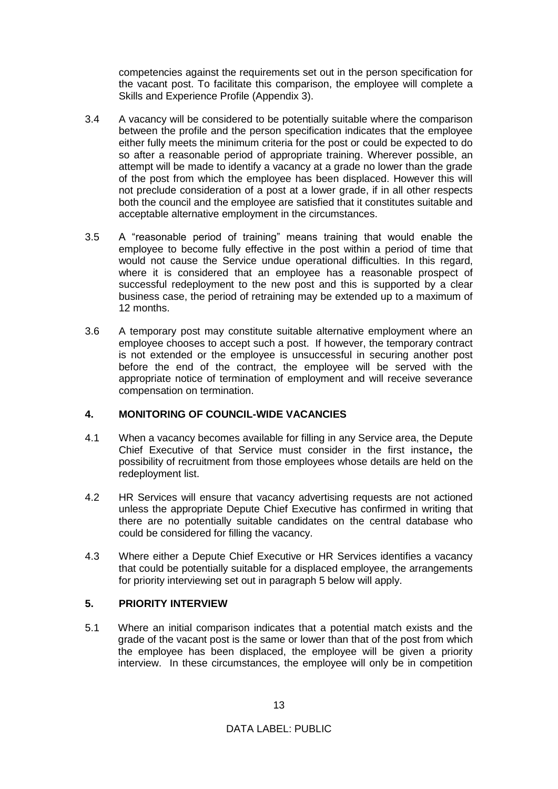competencies against the requirements set out in the person specification for the vacant post. To facilitate this comparison, the employee will complete a Skills and Experience Profile (Appendix 3).

- 3.4 A vacancy will be considered to be potentially suitable where the comparison between the profile and the person specification indicates that the employee either fully meets the minimum criteria for the post or could be expected to do so after a reasonable period of appropriate training. Wherever possible, an attempt will be made to identify a vacancy at a grade no lower than the grade of the post from which the employee has been displaced. However this will not preclude consideration of a post at a lower grade, if in all other respects both the council and the employee are satisfied that it constitutes suitable and acceptable alternative employment in the circumstances.
- 3.5 A "reasonable period of training" means training that would enable the employee to become fully effective in the post within a period of time that would not cause the Service undue operational difficulties. In this regard, where it is considered that an employee has a reasonable prospect of successful redeployment to the new post and this is supported by a clear business case, the period of retraining may be extended up to a maximum of 12 months.
- 3.6 A temporary post may constitute suitable alternative employment where an employee chooses to accept such a post. If however, the temporary contract is not extended or the employee is unsuccessful in securing another post before the end of the contract, the employee will be served with the appropriate notice of termination of employment and will receive severance compensation on termination.

## **4. MONITORING OF COUNCIL-WIDE VACANCIES**

- 4.1 When a vacancy becomes available for filling in any Service area, the Depute Chief Executive of that Service must consider in the first instance**,** the possibility of recruitment from those employees whose details are held on the redeployment list.
- 4.2 HR Services will ensure that vacancy advertising requests are not actioned unless the appropriate Depute Chief Executive has confirmed in writing that there are no potentially suitable candidates on the central database who could be considered for filling the vacancy.
- 4.3 Where either a Depute Chief Executive or HR Services identifies a vacancy that could be potentially suitable for a displaced employee, the arrangements for priority interviewing set out in paragraph 5 below will apply.

## **5. PRIORITY INTERVIEW**

5.1 Where an initial comparison indicates that a potential match exists and the grade of the vacant post is the same or lower than that of the post from which the employee has been displaced, the employee will be given a priority interview. In these circumstances, the employee will only be in competition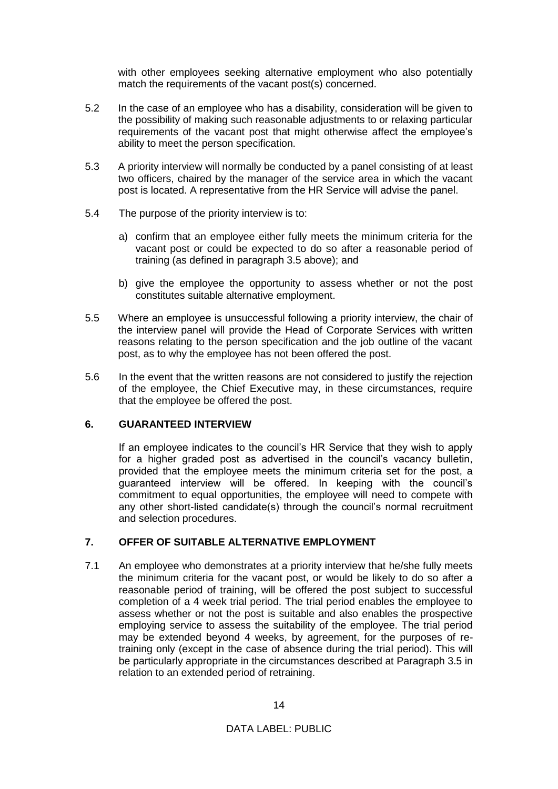with other employees seeking alternative employment who also potentially match the requirements of the vacant post(s) concerned.

- 5.2 In the case of an employee who has a disability, consideration will be given to the possibility of making such reasonable adjustments to or relaxing particular requirements of the vacant post that might otherwise affect the employee's ability to meet the person specification.
- 5.3 A priority interview will normally be conducted by a panel consisting of at least two officers, chaired by the manager of the service area in which the vacant post is located. A representative from the HR Service will advise the panel.
- 5.4 The purpose of the priority interview is to:
	- a) confirm that an employee either fully meets the minimum criteria for the vacant post or could be expected to do so after a reasonable period of training (as defined in paragraph 3.5 above); and
	- b) give the employee the opportunity to assess whether or not the post constitutes suitable alternative employment.
- 5.5 Where an employee is unsuccessful following a priority interview, the chair of the interview panel will provide the Head of Corporate Services with written reasons relating to the person specification and the job outline of the vacant post, as to why the employee has not been offered the post.
- 5.6 In the event that the written reasons are not considered to justify the rejection of the employee, the Chief Executive may, in these circumstances, require that the employee be offered the post.

## **6. GUARANTEED INTERVIEW**

If an employee indicates to the council's HR Service that they wish to apply for a higher graded post as advertised in the council's vacancy bulletin, provided that the employee meets the minimum criteria set for the post, a guaranteed interview will be offered. In keeping with the council's commitment to equal opportunities, the employee will need to compete with any other short-listed candidate(s) through the council's normal recruitment and selection procedures.

## **7. OFFER OF SUITABLE ALTERNATIVE EMPLOYMENT**

7.1 An employee who demonstrates at a priority interview that he/she fully meets the minimum criteria for the vacant post, or would be likely to do so after a reasonable period of training, will be offered the post subject to successful completion of a 4 week trial period. The trial period enables the employee to assess whether or not the post is suitable and also enables the prospective employing service to assess the suitability of the employee. The trial period may be extended beyond 4 weeks, by agreement, for the purposes of retraining only (except in the case of absence during the trial period). This will be particularly appropriate in the circumstances described at Paragraph 3.5 in relation to an extended period of retraining.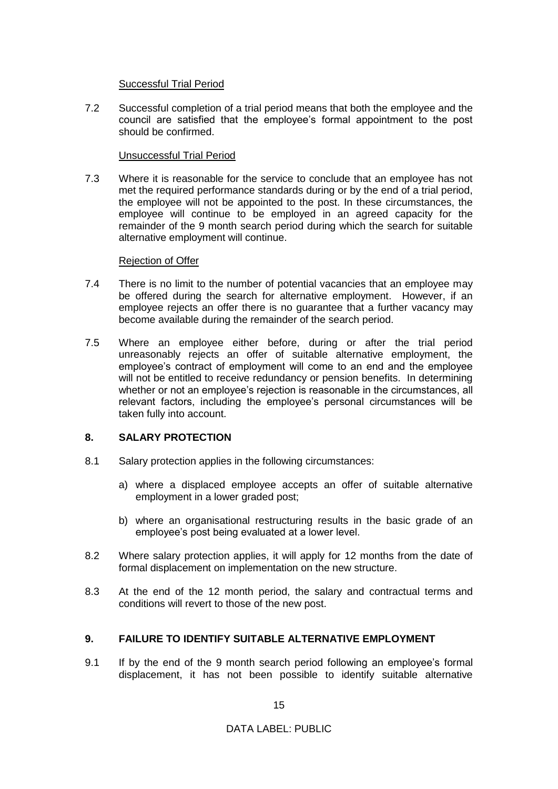#### Successful Trial Period

7.2 Successful completion of a trial period means that both the employee and the council are satisfied that the employee's formal appointment to the post should be confirmed.

## Unsuccessful Trial Period

7.3 Where it is reasonable for the service to conclude that an employee has not met the required performance standards during or by the end of a trial period, the employee will not be appointed to the post. In these circumstances, the employee will continue to be employed in an agreed capacity for the remainder of the 9 month search period during which the search for suitable alternative employment will continue.

## Rejection of Offer

- 7.4 There is no limit to the number of potential vacancies that an employee may be offered during the search for alternative employment. However, if an employee rejects an offer there is no guarantee that a further vacancy may become available during the remainder of the search period.
- 7.5 Where an employee either before, during or after the trial period unreasonably rejects an offer of suitable alternative employment, the employee's contract of employment will come to an end and the employee will not be entitled to receive redundancy or pension benefits. In determining whether or not an employee's rejection is reasonable in the circumstances, all relevant factors, including the employee's personal circumstances will be taken fully into account.

## **8. SALARY PROTECTION**

- 8.1 Salary protection applies in the following circumstances:
	- a) where a displaced employee accepts an offer of suitable alternative employment in a lower graded post;
	- b) where an organisational restructuring results in the basic grade of an employee's post being evaluated at a lower level.
- 8.2 Where salary protection applies, it will apply for 12 months from the date of formal displacement on implementation on the new structure.
- 8.3 At the end of the 12 month period, the salary and contractual terms and conditions will revert to those of the new post.

## **9. FAILURE TO IDENTIFY SUITABLE ALTERNATIVE EMPLOYMENT**

9.1 If by the end of the 9 month search period following an employee's formal displacement, it has not been possible to identify suitable alternative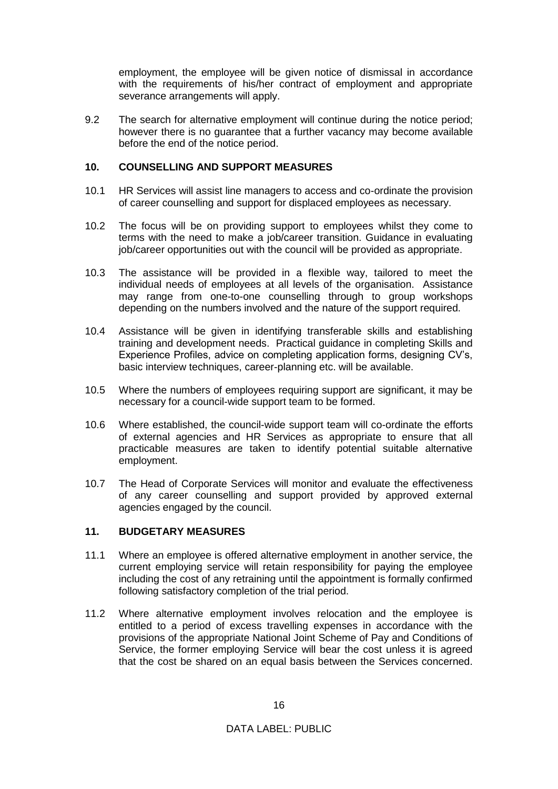employment, the employee will be given notice of dismissal in accordance with the requirements of his/her contract of employment and appropriate severance arrangements will apply.

9.2 The search for alternative employment will continue during the notice period; however there is no guarantee that a further vacancy may become available before the end of the notice period.

#### **10. COUNSELLING AND SUPPORT MEASURES**

- 10.1 HR Services will assist line managers to access and co-ordinate the provision of career counselling and support for displaced employees as necessary.
- 10.2 The focus will be on providing support to employees whilst they come to terms with the need to make a job/career transition. Guidance in evaluating job/career opportunities out with the council will be provided as appropriate.
- 10.3 The assistance will be provided in a flexible way, tailored to meet the individual needs of employees at all levels of the organisation. Assistance may range from one-to-one counselling through to group workshops depending on the numbers involved and the nature of the support required.
- 10.4 Assistance will be given in identifying transferable skills and establishing training and development needs. Practical guidance in completing Skills and Experience Profiles, advice on completing application forms, designing CV's, basic interview techniques, career-planning etc. will be available.
- 10.5 Where the numbers of employees requiring support are significant, it may be necessary for a council-wide support team to be formed.
- 10.6 Where established, the council-wide support team will co-ordinate the efforts of external agencies and HR Services as appropriate to ensure that all practicable measures are taken to identify potential suitable alternative employment.
- 10.7 The Head of Corporate Services will monitor and evaluate the effectiveness of any career counselling and support provided by approved external agencies engaged by the council.

## **11. BUDGETARY MEASURES**

- 11.1 Where an employee is offered alternative employment in another service, the current employing service will retain responsibility for paying the employee including the cost of any retraining until the appointment is formally confirmed following satisfactory completion of the trial period.
- 11.2 Where alternative employment involves relocation and the employee is entitled to a period of excess travelling expenses in accordance with the provisions of the appropriate National Joint Scheme of Pay and Conditions of Service, the former employing Service will bear the cost unless it is agreed that the cost be shared on an equal basis between the Services concerned.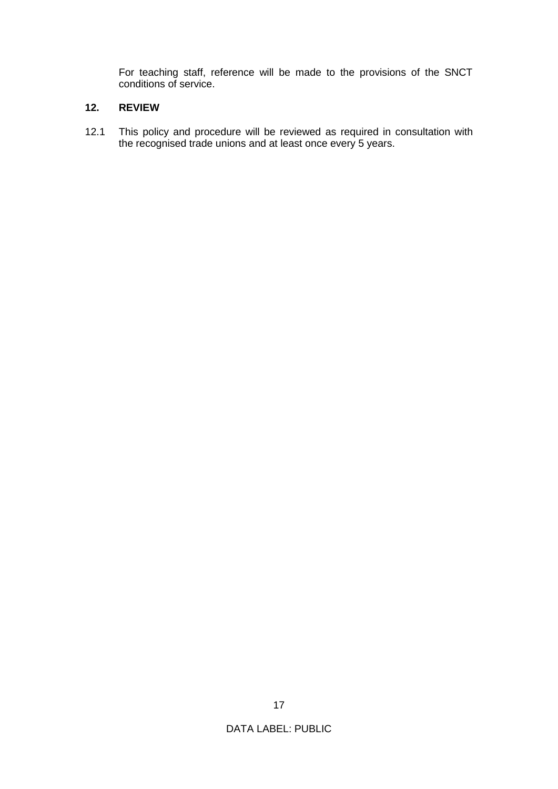For teaching staff, reference will be made to the provisions of the SNCT conditions of service.

## **12. REVIEW**

12.1 This policy and procedure will be reviewed as required in consultation with the recognised trade unions and at least once every 5 years.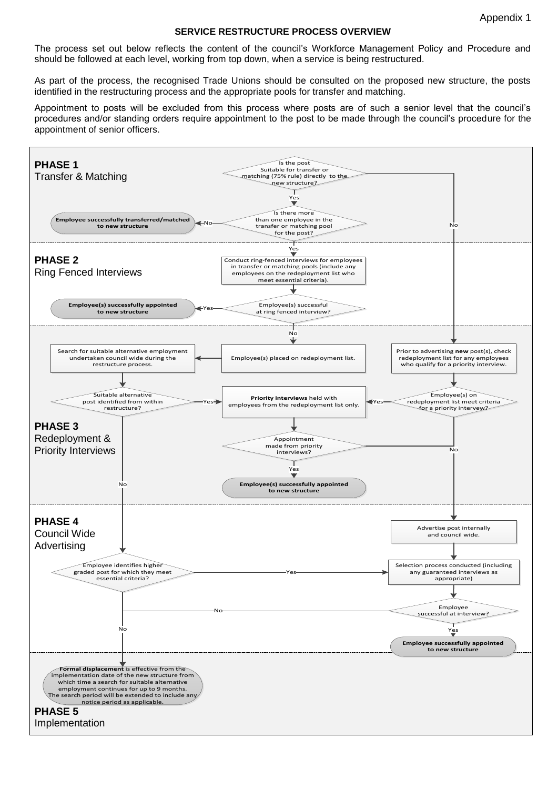#### **SERVICE RESTRUCTURE PROCESS OVERVIEW**

The process set out below reflects the content of the council's Workforce Management Policy and Procedure and should be followed at each level, working from top down, when a service is being restructured.

As part of the process, the recognised Trade Unions should be consulted on the proposed new structure, the posts identified in the restructuring process and the appropriate pools for transfer and matching.

Appointment to posts will be excluded from this process where posts are of such a senior level that the council's procedures and/or standing orders require appointment to the post to be made through the council's procedure for the appointment of senior officers.

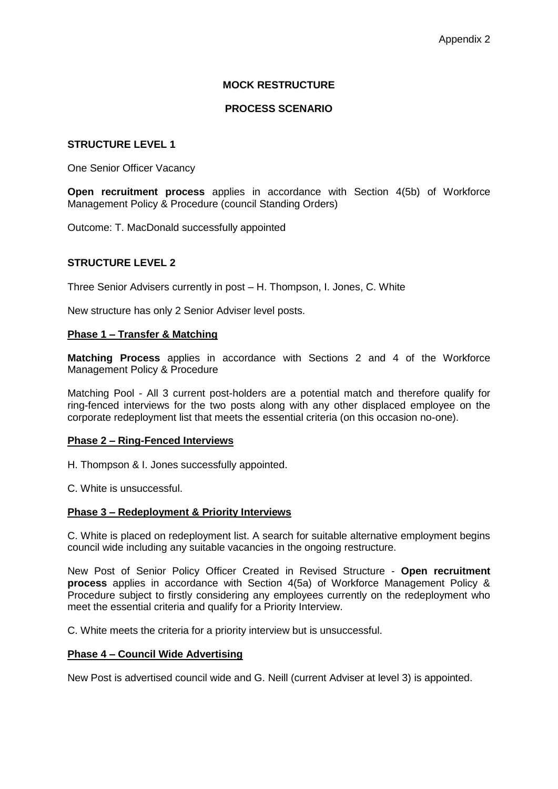#### **MOCK RESTRUCTURE**

#### **PROCESS SCENARIO**

#### **STRUCTURE LEVEL 1**

One Senior Officer Vacancy

**Open recruitment process** applies in accordance with Section 4(5b) of Workforce Management Policy & Procedure (council Standing Orders)

Outcome: T. MacDonald successfully appointed

#### **STRUCTURE LEVEL 2**

Three Senior Advisers currently in post – H. Thompson, I. Jones, C. White

New structure has only 2 Senior Adviser level posts.

#### **Phase 1 – Transfer & Matching**

**Matching Process** applies in accordance with Sections 2 and 4 of the Workforce Management Policy & Procedure

Matching Pool - All 3 current post-holders are a potential match and therefore qualify for ring-fenced interviews for the two posts along with any other displaced employee on the corporate redeployment list that meets the essential criteria (on this occasion no-one).

#### **Phase 2 – Ring-Fenced Interviews**

H. Thompson & I. Jones successfully appointed.

C. White is unsuccessful.

#### **Phase 3 – Redeployment & Priority Interviews**

C. White is placed on redeployment list. A search for suitable alternative employment begins council wide including any suitable vacancies in the ongoing restructure.

New Post of Senior Policy Officer Created in Revised Structure - **Open recruitment process** applies in accordance with Section 4(5a) of Workforce Management Policy & Procedure subject to firstly considering any employees currently on the redeployment who meet the essential criteria and qualify for a Priority Interview.

C. White meets the criteria for a priority interview but is unsuccessful.

#### **Phase 4 – Council Wide Advertising**

New Post is advertised council wide and G. Neill (current Adviser at level 3) is appointed.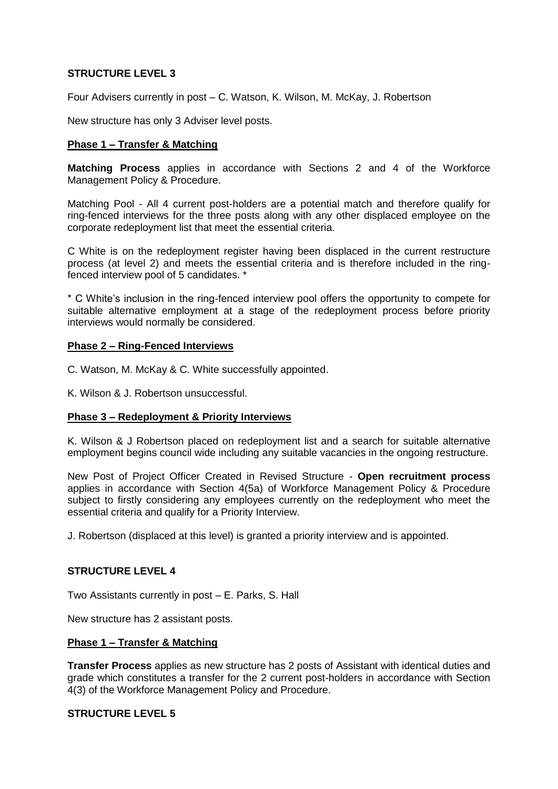## **STRUCTURE LEVEL 3**

Four Advisers currently in post – C. Watson, K. Wilson, M. McKay, J. Robertson

New structure has only 3 Adviser level posts.

#### **Phase 1 – Transfer & Matching**

**Matching Process** applies in accordance with Sections 2 and 4 of the Workforce Management Policy & Procedure.

Matching Pool - All 4 current post-holders are a potential match and therefore qualify for ring-fenced interviews for the three posts along with any other displaced employee on the corporate redeployment list that meet the essential criteria.

C White is on the redeployment register having been displaced in the current restructure process (at level 2) and meets the essential criteria and is therefore included in the ringfenced interview pool of 5 candidates. \*

\* C White's inclusion in the ring-fenced interview pool offers the opportunity to compete for suitable alternative employment at a stage of the redeployment process before priority interviews would normally be considered.

#### **Phase 2 – Ring-Fenced Interviews**

- C. Watson, M. McKay & C. White successfully appointed.
- K. Wilson & J. Robertson unsuccessful.

## **Phase 3 – Redeployment & Priority Interviews**

K. Wilson & J Robertson placed on redeployment list and a search for suitable alternative employment begins council wide including any suitable vacancies in the ongoing restructure.

New Post of Project Officer Created in Revised Structure - **Open recruitment process** applies in accordance with Section 4(5a) of Workforce Management Policy & Procedure subject to firstly considering any employees currently on the redeployment who meet the essential criteria and qualify for a Priority Interview.

J. Robertson (displaced at this level) is granted a priority interview and is appointed.

#### **STRUCTURE LEVEL 4**

Two Assistants currently in post – E. Parks, S. Hall

New structure has 2 assistant posts.

#### **Phase 1 – Transfer & Matching**

**Transfer Process** applies as new structure has 2 posts of Assistant with identical duties and grade which constitutes a transfer for the 2 current post-holders in accordance with Section 4(3) of the Workforce Management Policy and Procedure.

## **STRUCTURE LEVEL 5**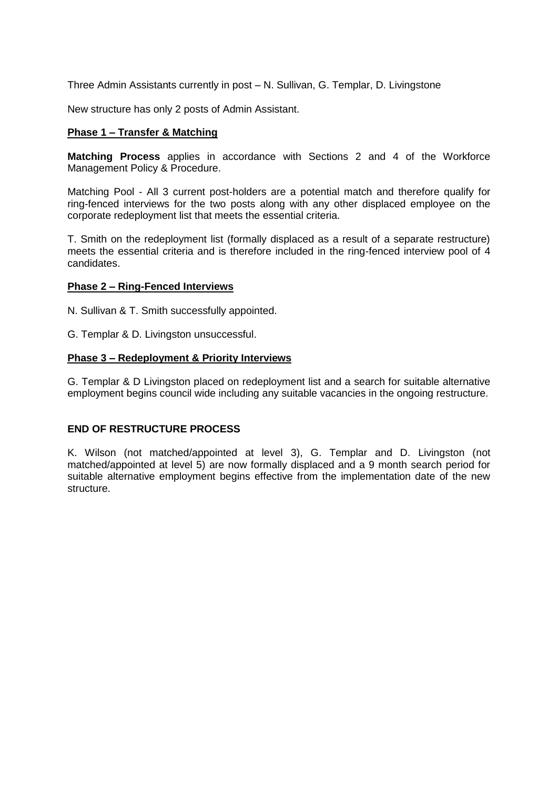Three Admin Assistants currently in post – N. Sullivan, G. Templar, D. Livingstone

New structure has only 2 posts of Admin Assistant.

#### **Phase 1 – Transfer & Matching**

**Matching Process** applies in accordance with Sections 2 and 4 of the Workforce Management Policy & Procedure.

Matching Pool - All 3 current post-holders are a potential match and therefore qualify for ring-fenced interviews for the two posts along with any other displaced employee on the corporate redeployment list that meets the essential criteria.

T. Smith on the redeployment list (formally displaced as a result of a separate restructure) meets the essential criteria and is therefore included in the ring-fenced interview pool of 4 candidates.

#### **Phase 2 – Ring-Fenced Interviews**

N. Sullivan & T. Smith successfully appointed.

G. Templar & D. Livingston unsuccessful.

#### **Phase 3 – Redeployment & Priority Interviews**

G. Templar & D Livingston placed on redeployment list and a search for suitable alternative employment begins council wide including any suitable vacancies in the ongoing restructure.

## **END OF RESTRUCTURE PROCESS**

K. Wilson (not matched/appointed at level 3), G. Templar and D. Livingston (not matched/appointed at level 5) are now formally displaced and a 9 month search period for suitable alternative employment begins effective from the implementation date of the new structure.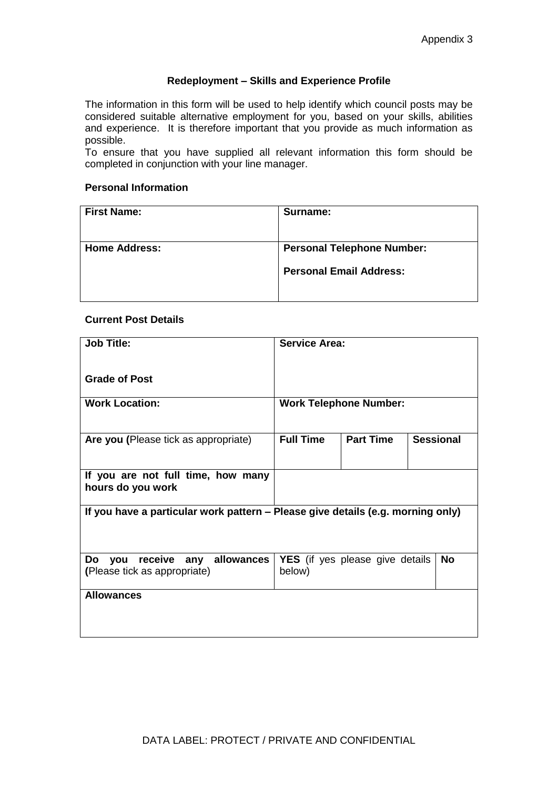#### **Redeployment – Skills and Experience Profile**

The information in this form will be used to help identify which council posts may be considered suitable alternative employment for you, based on your skills, abilities and experience. It is therefore important that you provide as much information as possible.

To ensure that you have supplied all relevant information this form should be completed in conjunction with your line manager.

#### **Personal Information**

| <b>First Name:</b>   | Surname:                          |  |  |
|----------------------|-----------------------------------|--|--|
|                      |                                   |  |  |
| <b>Home Address:</b> | <b>Personal Telephone Number:</b> |  |  |
|                      | <b>Personal Email Address:</b>    |  |  |
|                      |                                   |  |  |

#### **Current Post Details**

| <b>Job Title:</b>                                                               | <b>Service Area:</b>          |                                        |                  |  |  |
|---------------------------------------------------------------------------------|-------------------------------|----------------------------------------|------------------|--|--|
| <b>Grade of Post</b>                                                            |                               |                                        |                  |  |  |
| <b>Work Location:</b>                                                           | <b>Work Telephone Number:</b> |                                        |                  |  |  |
| Are you (Please tick as appropriate)                                            | <b>Full Time</b>              | <b>Part Time</b>                       | <b>Sessional</b> |  |  |
| If you are not full time, how many<br>hours do you work                         |                               |                                        |                  |  |  |
| If you have a particular work pattern – Please give details (e.g. morning only) |                               |                                        |                  |  |  |
| you receive any allowances<br>Do<br>(Please tick as appropriate)                | below)                        | <b>YES</b> (if yes please give details | <b>No</b>        |  |  |
| <b>Allowances</b>                                                               |                               |                                        |                  |  |  |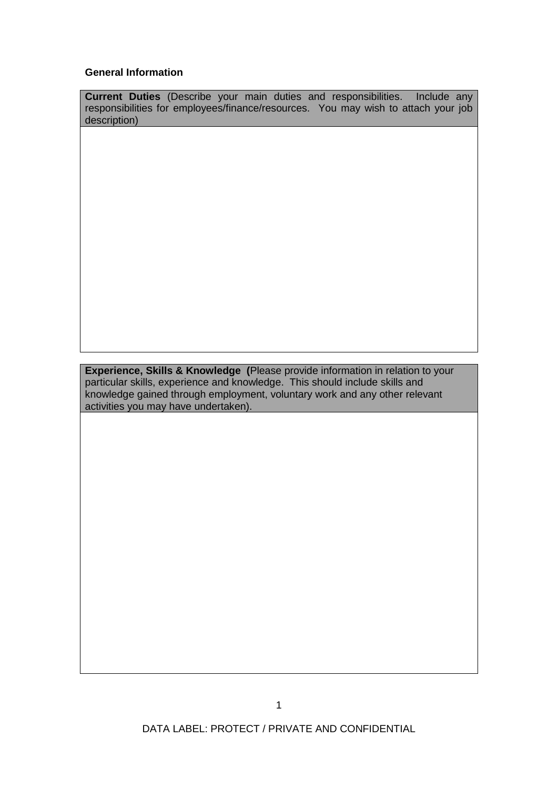#### **General Information**

**Current Duties** (Describe your main duties and responsibilities. Include any responsibilities for employees/finance/resources. You may wish to attach your job description)

**Experience, Skills & Knowledge (**Please provide information in relation to your particular skills, experience and knowledge. This should include skills and knowledge gained through employment, voluntary work and any other relevant activities you may have undertaken).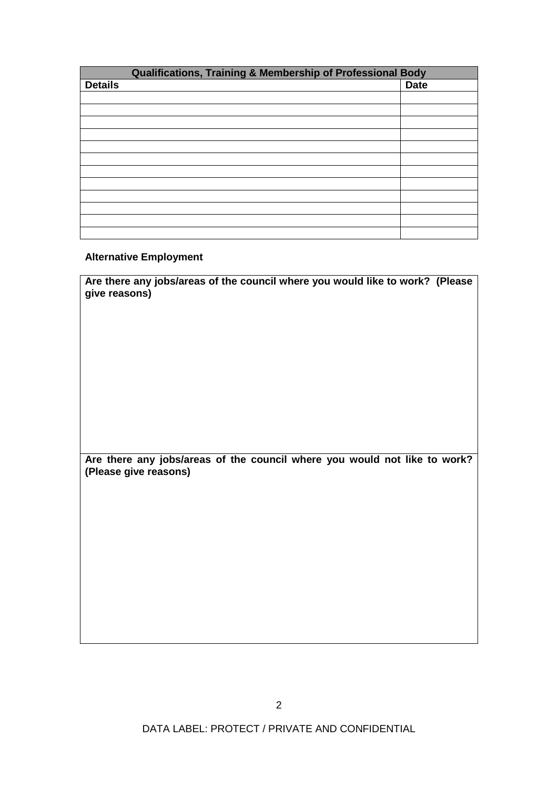| Qualifications, Training & Membership of Professional Body |  |             |  |  |
|------------------------------------------------------------|--|-------------|--|--|
| <b>Details</b>                                             |  | <b>Date</b> |  |  |
|                                                            |  |             |  |  |
|                                                            |  |             |  |  |
|                                                            |  |             |  |  |
|                                                            |  |             |  |  |
|                                                            |  |             |  |  |
|                                                            |  |             |  |  |
|                                                            |  |             |  |  |
|                                                            |  |             |  |  |
|                                                            |  |             |  |  |
|                                                            |  |             |  |  |
|                                                            |  |             |  |  |
|                                                            |  |             |  |  |

## **Alternative Employment**

| Are there any jobs/areas of the council where you would like to work? (Please<br>give reasons) |                                                                           |  |  |  |
|------------------------------------------------------------------------------------------------|---------------------------------------------------------------------------|--|--|--|
|                                                                                                |                                                                           |  |  |  |
|                                                                                                |                                                                           |  |  |  |
| (Please give reasons)                                                                          | Are there any jobs/areas of the council where you would not like to work? |  |  |  |
|                                                                                                |                                                                           |  |  |  |
|                                                                                                |                                                                           |  |  |  |